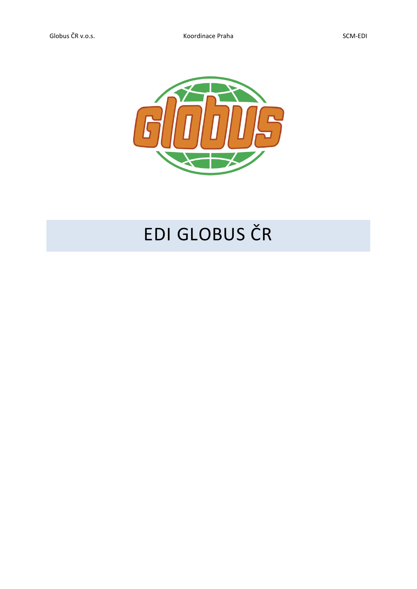

## EDI GLOBUS ČR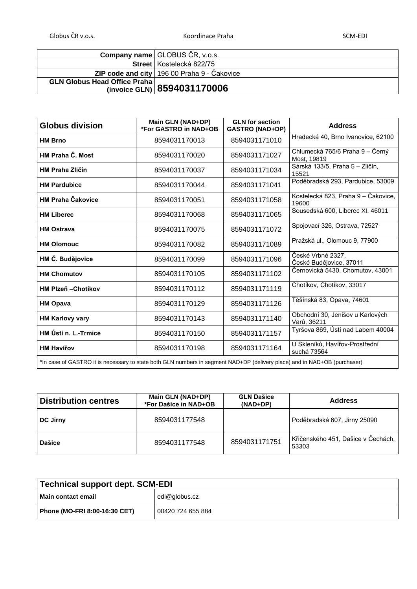Globus ČR v.o.s. SCM-EDI SCM-EDI Koordinace Praha SCM-EDI SCM-EDI

|                                     | <b>Company name GLOBUS ČR, v.o.s.</b>              |
|-------------------------------------|----------------------------------------------------|
|                                     | <b>Street   Kostelecká 822/75</b>                  |
|                                     | <b>ZIP code and city</b> 196 00 Praha 9 - Čakovice |
| <b>GLN Globus Head Office Praha</b> |                                                    |
|                                     | (invoice GLN) 8594031170006                        |

| <b>Globus division</b>                                                                                                    | Main GLN (NAD+DP)<br>*For GASTRO in NAD+OB | <b>GLN</b> for section<br><b>GASTRO (NAD+DP)</b> | <b>Address</b>                                  |
|---------------------------------------------------------------------------------------------------------------------------|--------------------------------------------|--------------------------------------------------|-------------------------------------------------|
| <b>HM Brno</b>                                                                                                            | 8594031170013                              | 8594031171010                                    | Hradecká 40, Brno Ivanovice, 62100              |
| <b>HM Praha Č. Most</b>                                                                                                   | 8594031170020                              | 8594031171027                                    | Chlumecká 765/6 Praha 9 – Černý<br>Most, 19819  |
| <b>HM Praha Zličín</b>                                                                                                    | 8594031170037                              | 8594031171034                                    | Sárská 133/5, Praha 5 – Zličín,<br>15521        |
| <b>HM Pardubice</b>                                                                                                       | 8594031170044                              | 8594031171041                                    | Poděbradská 293, Pardubice, 53009               |
| <b>HM Praha Čakovice</b>                                                                                                  | 8594031170051                              | 8594031171058                                    | Kostelecká 823, Praha 9 – Čakovice,<br>19600    |
| <b>HM Liberec</b>                                                                                                         | 8594031170068                              | 8594031171065                                    | Sousedská 600, Liberec XI, 46011                |
| <b>HM Ostrava</b>                                                                                                         | 8594031170075                              | 8594031171072                                    | Spojovací 326, Ostrava, 72527                   |
| <b>HM Olomouc</b>                                                                                                         | 8594031170082                              | 8594031171089                                    | Pražská ul., Olomouc 9, 77900                   |
| HM Č. Budějovice                                                                                                          | 8594031170099                              | 8594031171096                                    | České Vrbné 2327,<br>České Budějovice, 37011    |
| <b>HM Chomutov</b>                                                                                                        | 8594031170105                              | 8594031171102                                    | Černovická 5430, Chomutov, 43001                |
| <b>HM Plzeň - Chotíkov</b>                                                                                                | 8594031170112                              | 8594031171119                                    | Chotíkov, Chotíkov, 33017                       |
| <b>HM Opava</b>                                                                                                           | 8594031170129                              | 8594031171126                                    | Těšínská 83, Opava, 74601                       |
| <b>HM Karlovy vary</b>                                                                                                    | 8594031170143                              | 8594031171140                                    | Obchodní 30, Jenišov u Karlových<br>Varů, 36211 |
| HM Ústí n. L.-Trmice                                                                                                      | 8594031170150                              | 8594031171157                                    | Tyršova 869, Ústí nad Labem 40004               |
| <b>HM Havířov</b>                                                                                                         | 8594031170198                              | 8594031171164                                    | U Skleníků, Havířov-Prostřední<br>suchá 73564   |
| *In case of GASTRO it is necessary to state both GLN numbers in segment NAD+DP (delivery place) and in NAD+OB (purchaser) |                                            |                                                  |                                                 |

| <b>Distribution centres</b> | Main GLN (NAD+DP)<br>*For Dašice in NAD+OB | <b>GLN Dašice</b><br>$(NAD+DP)$ | <b>Address</b>                              |
|-----------------------------|--------------------------------------------|---------------------------------|---------------------------------------------|
| <b>DC Jirny</b>             | 8594031177548                              |                                 | Poděbradská 607, Jirny 25090                |
| <b>Dašice</b>               | 8594031177548                              | 8594031171751                   | Křičenského 451, Dašice v Čechách,<br>53303 |

| Technical support dept. SCM-EDI |                   |  |
|---------------------------------|-------------------|--|
| Main contact email              | edi@globus.cz     |  |
| Phone (MO-FRI 8:00-16:30 CET)   | 00420 724 655 884 |  |